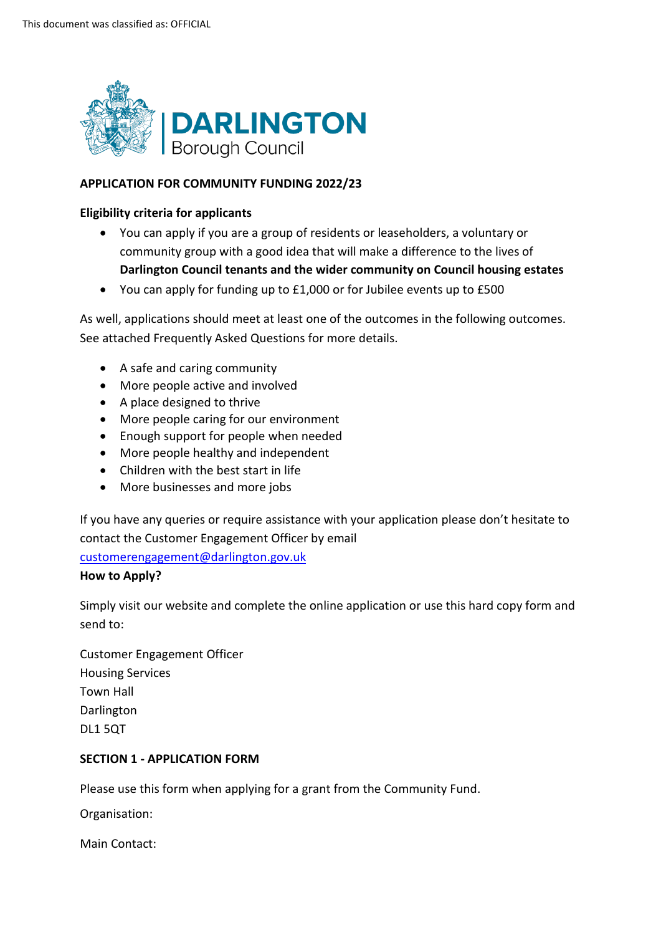

# **APPLICATION FOR COMMUNITY FUNDING 2022/23**

## **Eligibility criteria for applicants**

- community group with a good idea that will make a difference to the lives of • You can apply if you are a group of residents or leaseholders, a voluntary or **Darlington Council tenants and the wider community on Council housing estates**
- You can apply for funding up to £1,000 or for Jubilee events up to £500

 As well, applications should meet at least one of the outcomes in the following outcomes. See attached Frequently Asked Questions for more details.

- A safe and caring community
- More people active and involved
- A place designed to thrive
- More people caring for our environment
- Enough support for people when needed
- More people healthy and independent
- Children with the best start in life
- More businesses and more jobs

 If you have any queries or require assistance with your application please don't hesitate to contact the Customer Engagement Officer by email

[customerengagement@darlington.gov.uk](mailto:customerengagement@darlington.gov.uk) 

## **How to Apply?**

 Simply visit our website and complete the online application or use this hard copy form and send to:

Customer Engagement Officer Housing Services Town Hall Darlington DL1 5QT

# **SECTION 1 - APPLICATION FORM**

Please use this form when applying for a grant from the Community Fund.

 Organisation: Main Contact: Main Contact: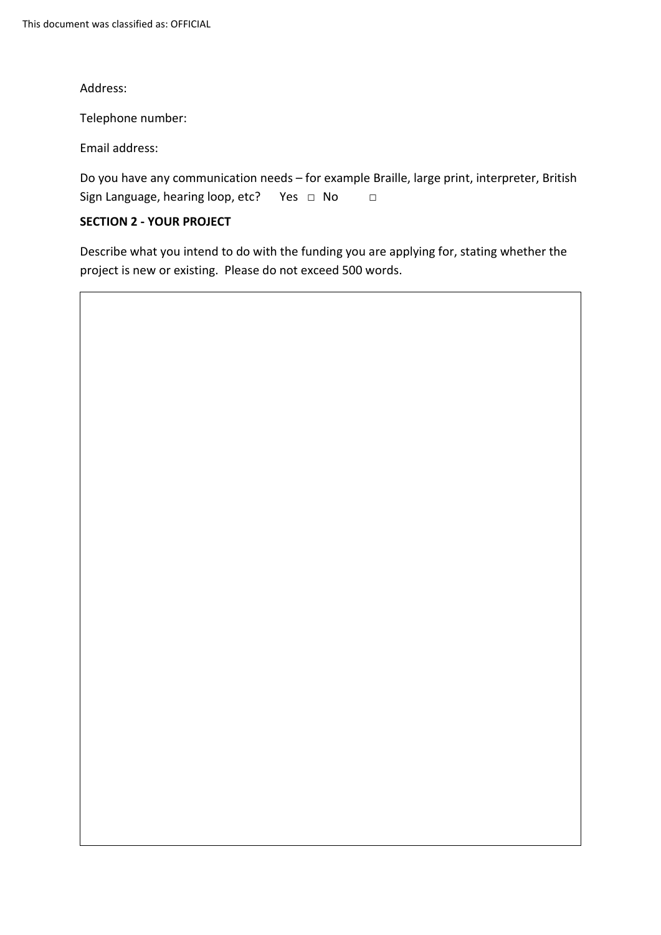Address:

Telephone number:

Email address:

Sign Language, hearing loop, etc? Yes □ No □ Do you have any communication needs – for example Braille, large print, interpreter, British

# **SECTION 2 - YOUR PROJECT**

 project is new or existing. Please do not exceed 500 words. Describe what you intend to do with the funding you are applying for, stating whether the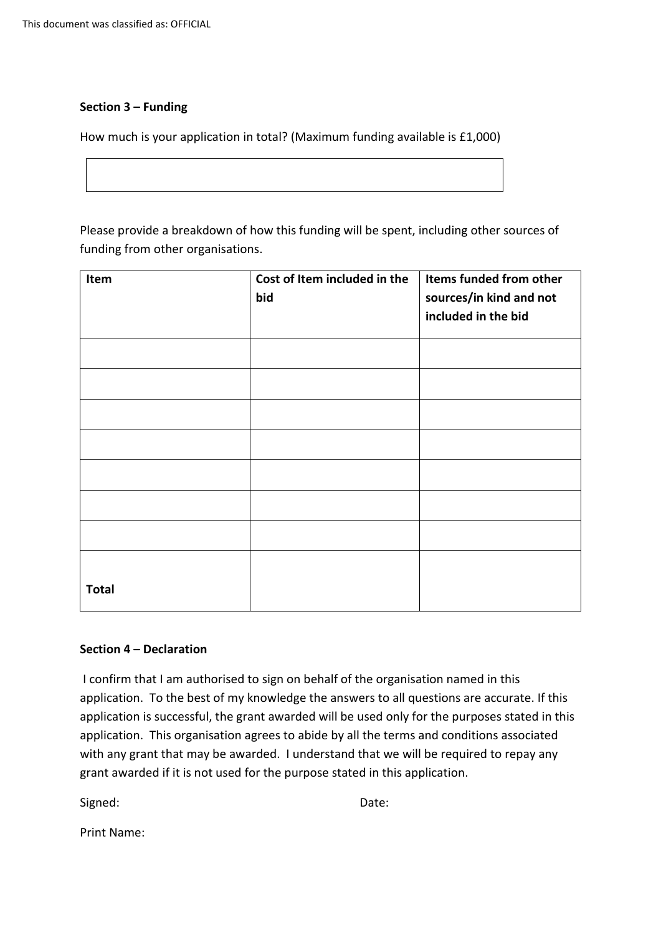# **Section 3 – Funding**

How much is your application in total? (Maximum funding available is £1,000)

 Please provide a breakdown of how this funding will be spent, including other sources of funding from other organisations.

| Item                    | Cost of Item included in the<br>bid | Items funded from other<br>sources/in kind and not<br>included in the bid |
|-------------------------|-------------------------------------|---------------------------------------------------------------------------|
|                         |                                     |                                                                           |
|                         |                                     |                                                                           |
|                         |                                     |                                                                           |
|                         |                                     |                                                                           |
|                         |                                     |                                                                           |
|                         |                                     |                                                                           |
|                         |                                     |                                                                           |
|                         |                                     |                                                                           |
| <b>Total</b>            |                                     |                                                                           |
| Section 4 - Declaration |                                     |                                                                           |

 application. To the best of my knowledge the answers to all questions are accurate. If this application. This organisation agrees to abide by all the terms and conditions associated grant awarded if it is not used for the purpose stated in this application. I confirm that I am authorised to sign on behalf of the organisation named in this application is successful, the grant awarded will be used only for the purposes stated in this with any grant that may be awarded. I understand that we will be required to repay any

Signed: Contract Contract Contract Contract Contract Contract Contract Contract Contract Contract Contract Contract Contract Contract Contract Contract Contract Contract Contract Contract Contract Contract Contract Contrac

Print Name: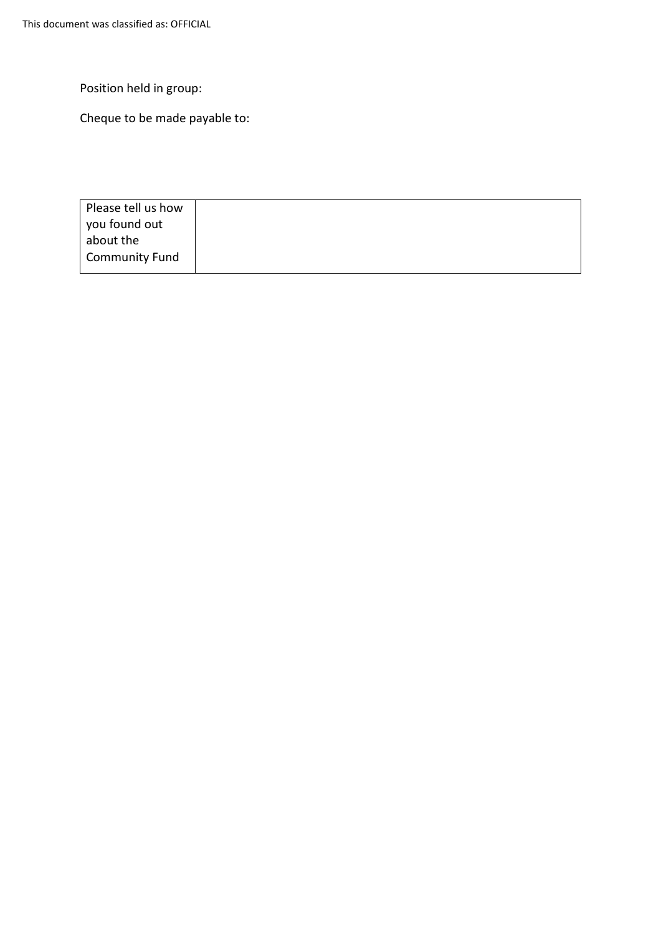Position held in group:

Cheque to be made payable to:

| Please tell us how    |  |
|-----------------------|--|
| you found out         |  |
| about the             |  |
| <b>Community Fund</b> |  |
|                       |  |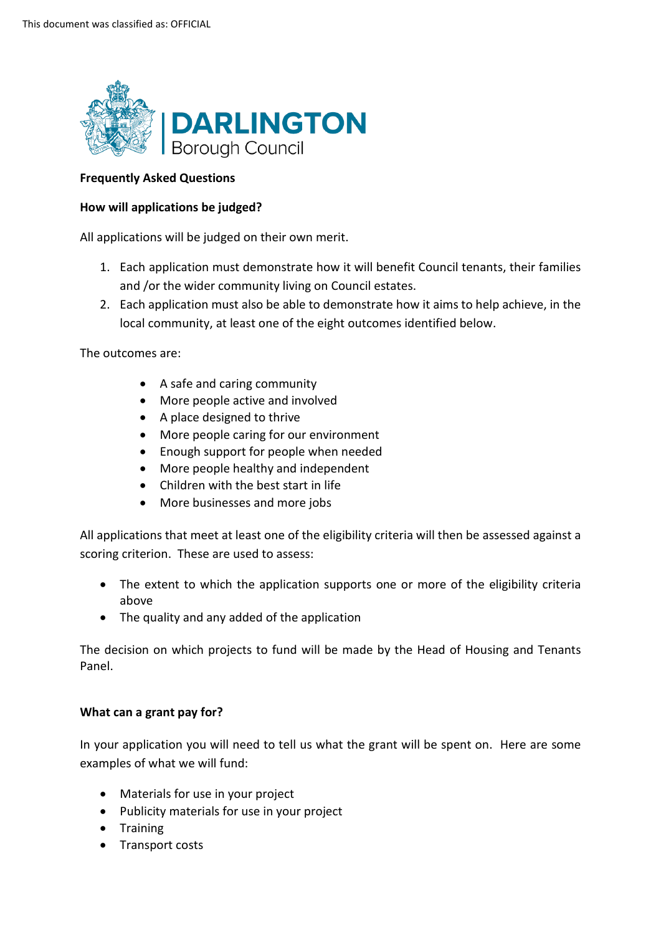

## **Frequently Asked Questions**

## **How will applications be judged?**

All applications will be judged on their own merit.

- and /or the wider community living on Council estates. 1. Each application must demonstrate how it will benefit Council tenants, their families
- 2. Each application must also be able to demonstrate how it aims to help achieve, in the local community, at least one of the eight outcomes identified below.

The outcomes are:

- A safe and caring community
- More people active and involved
- A place designed to thrive
- More people caring for our environment
- Enough support for people when needed
- More people healthy and independent
- Children with the best start in life
- More businesses and more jobs

 scoring criterion. These are used to assess: All applications that meet at least one of the eligibility criteria will then be assessed against a

- The extent to which the application supports one or more of the eligibility criteria above
- The quality and any added of the application

 The decision on which projects to fund will be made by the Head of Housing and Tenants Panel.

## **What can a grant pay for?**

 In your application you will need to tell us what the grant will be spent on. Here are some examples of what we will fund:

- Materials for use in your project
- Publicity materials for use in your project
- Training
- Transport costs